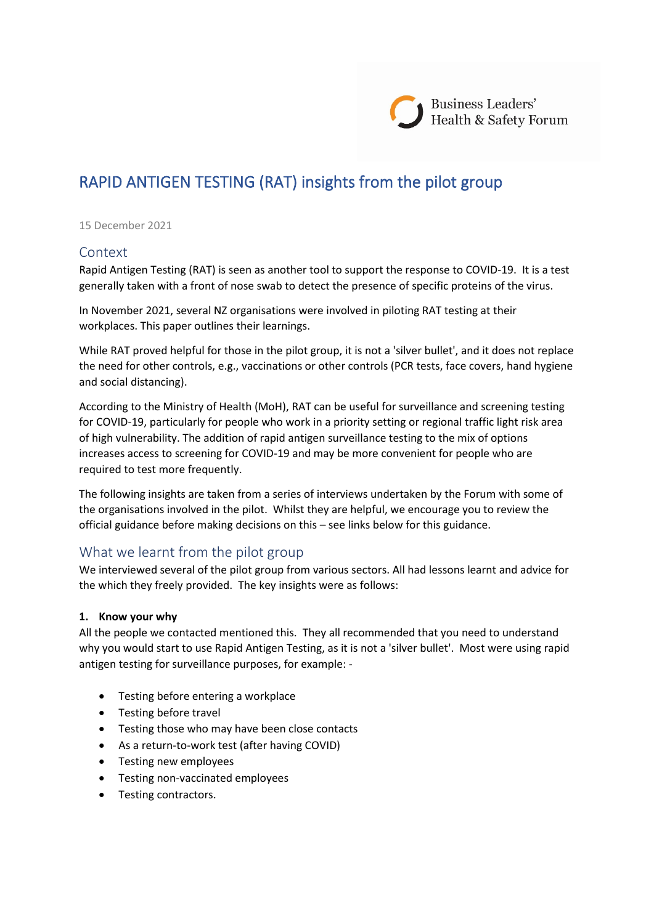# RAPID ANTIGEN TESTING (RAT) insights from the pilot group

#### 15 December 2021

### Context

Rapid Antigen Testing (RAT) is seen as another tool to support the response to COVID-19. It is a test generally taken with a front of nose swab to detect the presence of specific proteins of the virus.

In November 2021, several NZ organisations were involved in piloting RAT testing at their workplaces. This paper outlines their learnings.

While RAT proved helpful for those in the pilot group, it is not a 'silver bullet', and it does not replace the need for other controls, e.g., vaccinations or other controls (PCR tests, face covers, hand hygiene and social distancing).

According to the Ministry of Health (MoH), RAT can be useful for surveillance and screening testing for COVID-19, particularly for people who work in a priority setting or regional traffic light risk area of high vulnerability. The addition of rapid antigen surveillance testing to the mix of options increases access to screening for COVID-19 and may be more convenient for people who are required to test more frequently.

The following insights are taken from a series of interviews undertaken by the Forum with some of the organisations involved in the pilot. Whilst they are helpful, we encourage you to review the official guidance before making decisions on this – see links below for this guidance.

# What we learnt from the pilot group

We interviewed several of the pilot group from various sectors. All had lessons learnt and advice for the which they freely provided. The key insights were as follows:

#### **1. Know your why**

All the people we contacted mentioned this. They all recommended that you need to understand why you would start to use Rapid Antigen Testing, as it is not a 'silver bullet'. Most were using rapid antigen testing for surveillance purposes, for example: -

- Testing before entering a workplace
- Testing before travel
- Testing those who may have been close contacts
- As a return-to-work test (after having COVID)
- Testing new employees
- Testing non-vaccinated employees
- Testing contractors.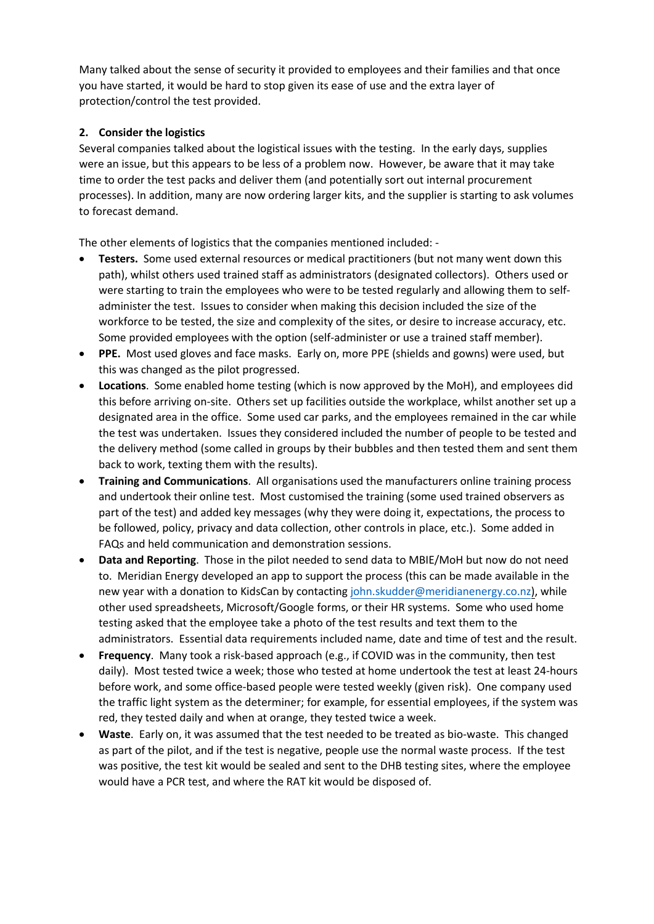Many talked about the sense of security it provided to employees and their families and that once you have started, it would be hard to stop given its ease of use and the extra layer of protection/control the test provided.

## **2. Consider the logistics**

Several companies talked about the logistical issues with the testing. In the early days, supplies were an issue, but this appears to be less of a problem now. However, be aware that it may take time to order the test packs and deliver them (and potentially sort out internal procurement processes). In addition, many are now ordering larger kits, and the supplier is starting to ask volumes to forecast demand.

The other elements of logistics that the companies mentioned included: -

- **Testers.** Some used external resources or medical practitioners (but not many went down this path), whilst others used trained staff as administrators (designated collectors). Others used or were starting to train the employees who were to be tested regularly and allowing them to selfadminister the test. Issues to consider when making this decision included the size of the workforce to be tested, the size and complexity of the sites, or desire to increase accuracy, etc. Some provided employees with the option (self-administer or use a trained staff member).
- **PPE.** Most used gloves and face masks. Early on, more PPE (shields and gowns) were used, but this was changed as the pilot progressed.
- **Locations**. Some enabled home testing (which is now approved by the MoH), and employees did this before arriving on-site. Others set up facilities outside the workplace, whilst another set up a designated area in the office. Some used car parks, and the employees remained in the car while the test was undertaken. Issues they considered included the number of people to be tested and the delivery method (some called in groups by their bubbles and then tested them and sent them back to work, texting them with the results).
- **Training and Communications**. All organisations used the manufacturers online training process and undertook their online test. Most customised the training (some used trained observers as part of the test) and added key messages (why they were doing it, expectations, the process to be followed, policy, privacy and data collection, other controls in place, etc.). Some added in FAQs and held communication and demonstration sessions.
- **Data and Reporting**. Those in the pilot needed to send data to MBIE/MoH but now do not need to. Meridian Energy developed an app to support the process (this can be made available in the new year with a donation to KidsCan by contacting [john.skudder@meridianenergy.co.nz](mailto:john.skudder@meridianenergy.co.nz)), while other used spreadsheets, Microsoft/Google forms, or their HR systems. Some who used home testing asked that the employee take a photo of the test results and text them to the administrators. Essential data requirements included name, date and time of test and the result.
- **Frequency**. Many took a risk-based approach (e.g., if COVID was in the community, then test daily). Most tested twice a week; those who tested at home undertook the test at least 24-hours before work, and some office-based people were tested weekly (given risk). One company used the traffic light system as the determiner; for example, for essential employees, if the system was red, they tested daily and when at orange, they tested twice a week.
- **Waste**. Early on, it was assumed that the test needed to be treated as bio-waste. This changed as part of the pilot, and if the test is negative, people use the normal waste process. If the test was positive, the test kit would be sealed and sent to the DHB testing sites, where the employee would have a PCR test, and where the RAT kit would be disposed of.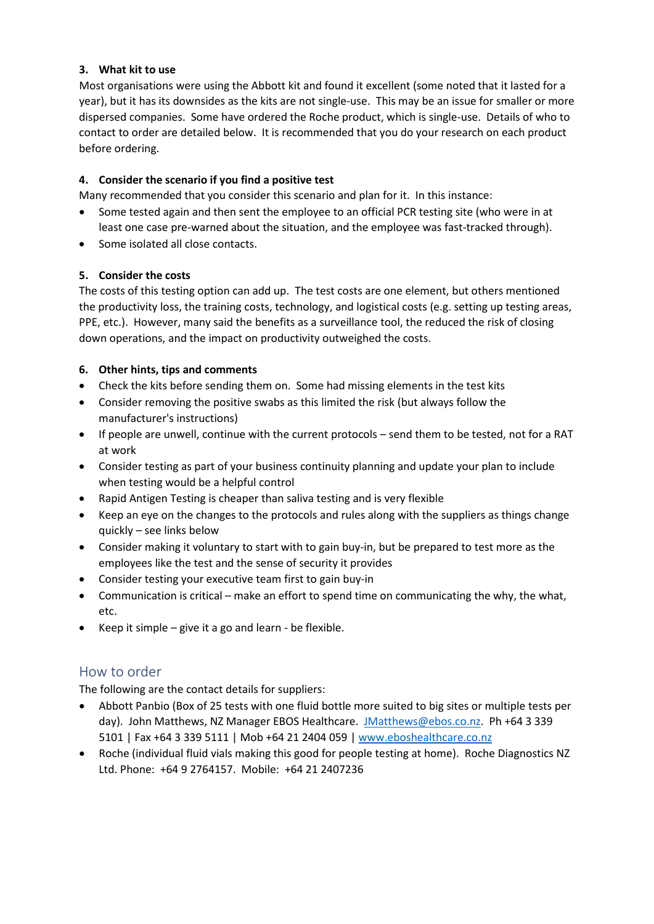#### **3. What kit to use**

Most organisations were using the Abbott kit and found it excellent (some noted that it lasted for a year), but it has its downsides as the kits are not single-use. This may be an issue for smaller or more dispersed companies. Some have ordered the Roche product, which is single-use. Details of who to contact to order are detailed below. It is recommended that you do your research on each product before ordering.

#### **4. Consider the scenario if you find a positive test**

Many recommended that you consider this scenario and plan for it. In this instance:

- Some tested again and then sent the employee to an official PCR testing site (who were in at
- least one case pre-warned about the situation, and the employee was fast-tracked through).
- Some isolated all close contacts.

#### **5. Consider the costs**

The costs of this testing option can add up. The test costs are one element, but others mentioned the productivity loss, the training costs, technology, and logistical costs (e.g. setting up testing areas, PPE, etc.). However, many said the benefits as a surveillance tool, the reduced the risk of closing down operations, and the impact on productivity outweighed the costs.

#### **6. Other hints, tips and comments**

- Check the kits before sending them on. Some had missing elements in the test kits
- Consider removing the positive swabs as this limited the risk (but always follow the manufacturer's instructions)
- If people are unwell, continue with the current protocols send them to be tested, not for a RAT at work
- Consider testing as part of your business continuity planning and update your plan to include when testing would be a helpful control
- Rapid Antigen Testing is cheaper than saliva testing and is very flexible
- Keep an eye on the changes to the protocols and rules along with the suppliers as things change quickly – see links below
- Consider making it voluntary to start with to gain buy-in, but be prepared to test more as the employees like the test and the sense of security it provides
- Consider testing your executive team first to gain buy-in
- Communication is critical make an effort to spend time on communicating the why, the what, etc.
- Keep it simple give it a go and learn be flexible.

## How to order

The following are the contact details for suppliers:

- Abbott Panbio (Box of 25 tests with one fluid bottle more suited to big sites or multiple tests per day). John Matthews, NZ Manager EBOS Healthcare. [JMatthews@ebos.co.nz.](mailto:JMatthews@ebos.co.nz) Ph +64 3 339 5101 | Fax +64 3 339 5111 | Mob +64 21 2404 059 [| www.eboshealthcare.co.nz](http://www.eboshealthcare.co.nz/)
- Roche (individual fluid vials making this good for people testing at home). Roche Diagnostics NZ Ltd. Phone: +64 9 2764157. Mobile: +64 21 2407236